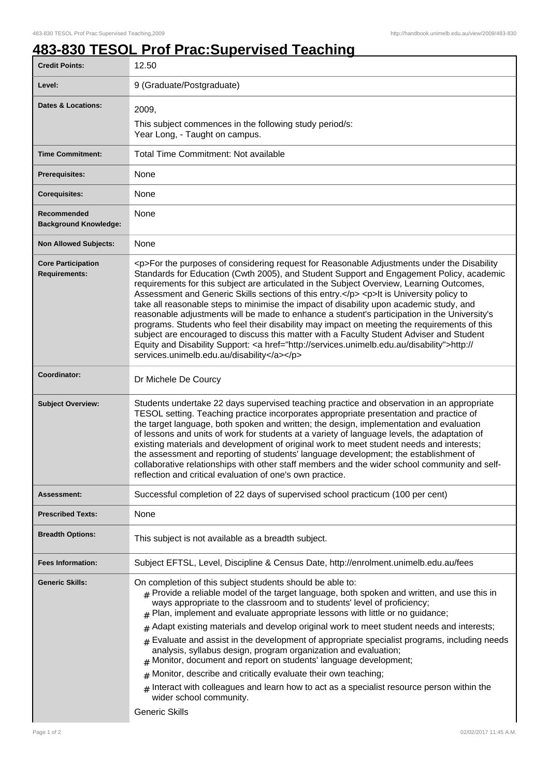## **483-830 TESOL Prof Prac:Supervised Teaching**

| <b>Credit Points:</b>                             | 12.50                                                                                                                                                                                                                                                                                                                                                                                                                                                                                                                                                                                                                                                                                                                                                                                                                                                                                                                        |
|---------------------------------------------------|------------------------------------------------------------------------------------------------------------------------------------------------------------------------------------------------------------------------------------------------------------------------------------------------------------------------------------------------------------------------------------------------------------------------------------------------------------------------------------------------------------------------------------------------------------------------------------------------------------------------------------------------------------------------------------------------------------------------------------------------------------------------------------------------------------------------------------------------------------------------------------------------------------------------------|
| Level:                                            | 9 (Graduate/Postgraduate)                                                                                                                                                                                                                                                                                                                                                                                                                                                                                                                                                                                                                                                                                                                                                                                                                                                                                                    |
| <b>Dates &amp; Locations:</b>                     | 2009,<br>This subject commences in the following study period/s:<br>Year Long, - Taught on campus.                                                                                                                                                                                                                                                                                                                                                                                                                                                                                                                                                                                                                                                                                                                                                                                                                           |
| <b>Time Commitment:</b>                           | <b>Total Time Commitment: Not available</b>                                                                                                                                                                                                                                                                                                                                                                                                                                                                                                                                                                                                                                                                                                                                                                                                                                                                                  |
| Prerequisites:                                    | None                                                                                                                                                                                                                                                                                                                                                                                                                                                                                                                                                                                                                                                                                                                                                                                                                                                                                                                         |
| <b>Corequisites:</b>                              | None                                                                                                                                                                                                                                                                                                                                                                                                                                                                                                                                                                                                                                                                                                                                                                                                                                                                                                                         |
| Recommended<br><b>Background Knowledge:</b>       | None                                                                                                                                                                                                                                                                                                                                                                                                                                                                                                                                                                                                                                                                                                                                                                                                                                                                                                                         |
| <b>Non Allowed Subjects:</b>                      | None                                                                                                                                                                                                                                                                                                                                                                                                                                                                                                                                                                                                                                                                                                                                                                                                                                                                                                                         |
| <b>Core Participation</b><br><b>Requirements:</b> | <p>For the purposes of considering request for Reasonable Adjustments under the Disability<br/>Standards for Education (Cwth 2005), and Student Support and Engagement Policy, academic<br/>requirements for this subject are articulated in the Subject Overview, Learning Outcomes,<br/>Assessment and Generic Skills sections of this entry.</p> <p>lt is University policy to<br/>take all reasonable steps to minimise the impact of disability upon academic study, and<br/>reasonable adjustments will be made to enhance a student's participation in the University's<br/>programs. Students who feel their disability may impact on meeting the requirements of this<br/>subject are encouraged to discuss this matter with a Faculty Student Adviser and Student<br/>Equity and Disability Support: &lt; a href="http://services.unimelb.edu.au/disability"&gt;http://<br/>services.unimelb.edu.au/disability</p> |
| Coordinator:                                      | Dr Michele De Courcy                                                                                                                                                                                                                                                                                                                                                                                                                                                                                                                                                                                                                                                                                                                                                                                                                                                                                                         |
| <b>Subject Overview:</b>                          | Students undertake 22 days supervised teaching practice and observation in an appropriate<br>TESOL setting. Teaching practice incorporates appropriate presentation and practice of<br>the target language, both spoken and written; the design, implementation and evaluation<br>of lessons and units of work for students at a variety of language levels, the adaptation of<br>existing materials and development of original work to meet student needs and interests;<br>the assessment and reporting of students' language development; the establishment of<br>collaborative relationships with other staff members and the wider school community and self-<br>reflection and critical evaluation of one's own practice.                                                                                                                                                                                             |
| <b>Assessment:</b>                                | Successful completion of 22 days of supervised school practicum (100 per cent)                                                                                                                                                                                                                                                                                                                                                                                                                                                                                                                                                                                                                                                                                                                                                                                                                                               |
| <b>Prescribed Texts:</b>                          | None                                                                                                                                                                                                                                                                                                                                                                                                                                                                                                                                                                                                                                                                                                                                                                                                                                                                                                                         |
| <b>Breadth Options:</b>                           | This subject is not available as a breadth subject.                                                                                                                                                                                                                                                                                                                                                                                                                                                                                                                                                                                                                                                                                                                                                                                                                                                                          |
| <b>Fees Information:</b>                          | Subject EFTSL, Level, Discipline & Census Date, http://enrolment.unimelb.edu.au/fees                                                                                                                                                                                                                                                                                                                                                                                                                                                                                                                                                                                                                                                                                                                                                                                                                                         |
| <b>Generic Skills:</b>                            | On completion of this subject students should be able to:<br>$_{\text{\#}}$ Provide a reliable model of the target language, both spoken and written, and use this in<br>ways appropriate to the classroom and to students' level of proficiency;<br>Plan, implement and evaluate appropriate lessons with little or no guidance;<br>#<br>Adapt existing materials and develop original work to meet student needs and interests;<br>#<br>Evaluate and assist in the development of appropriate specialist programs, including needs<br>#<br>analysis, syllabus design, program organization and evaluation;<br>Monitor, document and report on students' language development;<br>Monitor, describe and critically evaluate their own teaching;<br>#<br>Interact with colleagues and learn how to act as a specialist resource person within the<br>$\pm$<br>wider school community.<br><b>Generic Skills</b>               |